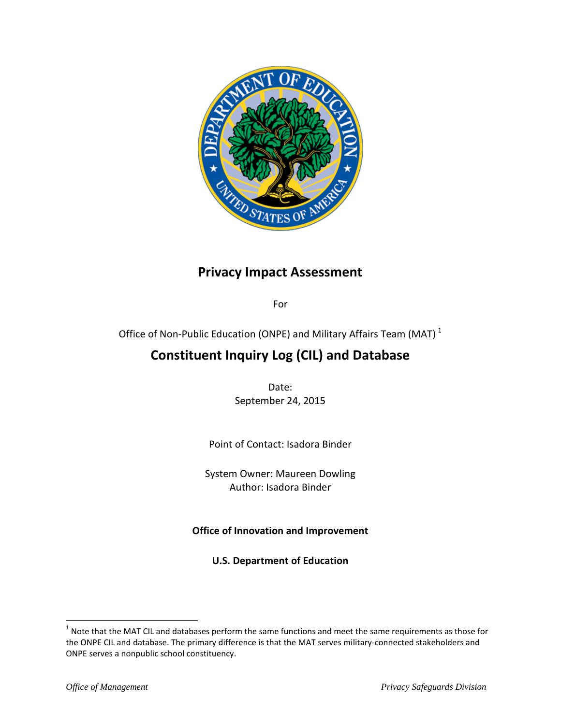

# **Privacy Impact Assessment**

For

Office of Non-Public Education (ONPE) and Military Affairs Team (MAT)<sup>[1](#page-0-0)</sup>

# **Constituent Inquiry Log (CIL) and Database**

Date: September 24, 2015

Point of Contact: Isadora Binder

System Owner: Maureen Dowling Author: Isadora Binder

**Office of Innovation and Improvement**

**U.S. Department of Education**

 $\overline{a}$ 

<span id="page-0-0"></span> $<sup>1</sup>$  Note that the MAT CIL and databases perform the same functions and meet the same requirements as those for</sup> the ONPE CIL and database. The primary difference is that the MAT serves military-connected stakeholders and ONPE serves a nonpublic school constituency.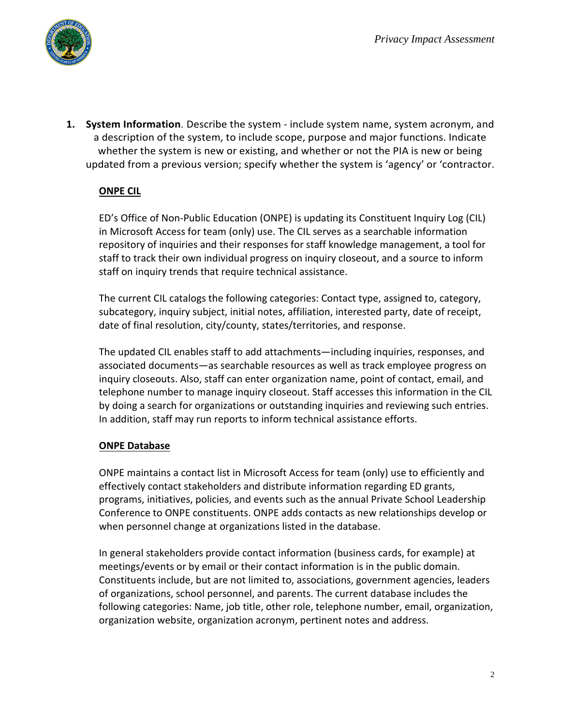

**1. System Information**. Describe the system - include system name, system acronym, and a description of the system, to include scope, purpose and major functions. Indicate whether the system is new or existing, and whether or not the PIA is new or being updated from a previous version; specify whether the system is 'agency' or 'contractor.

# **ONPE CIL**

ED's Office of Non-Public Education (ONPE) is updating its Constituent Inquiry Log (CIL) in Microsoft Access for team (only) use. The CIL serves as a searchable information repository of inquiries and their responses for staff knowledge management, a tool for staff to track their own individual progress on inquiry closeout, and a source to inform staff on inquiry trends that require technical assistance.

The current CIL catalogs the following categories: Contact type, assigned to, category, subcategory, inquiry subject, initial notes, affiliation, interested party, date of receipt, date of final resolution, city/county, states/territories, and response.

The updated CIL enables staff to add attachments—including inquiries, responses, and associated documents—as searchable resources as well as track employee progress on inquiry closeouts. Also, staff can enter organization name, point of contact, email, and telephone number to manage inquiry closeout. Staff accesses this information in the CIL by doing a search for organizations or outstanding inquiries and reviewing such entries. In addition, staff may run reports to inform technical assistance efforts.

## **ONPE Database**

ONPE maintains a contact list in Microsoft Access for team (only) use to efficiently and effectively contact stakeholders and distribute information regarding ED grants, programs, initiatives, policies, and events such as the annual Private School Leadership Conference to ONPE constituents. ONPE adds contacts as new relationships develop or when personnel change at organizations listed in the database.

In general stakeholders provide contact information (business cards, for example) at meetings/events or by email or their contact information is in the public domain. Constituents include, but are not limited to, associations, government agencies, leaders of organizations, school personnel, and parents. The current database includes the following categories: Name, job title, other role, telephone number, email, organization, organization website, organization acronym, pertinent notes and address.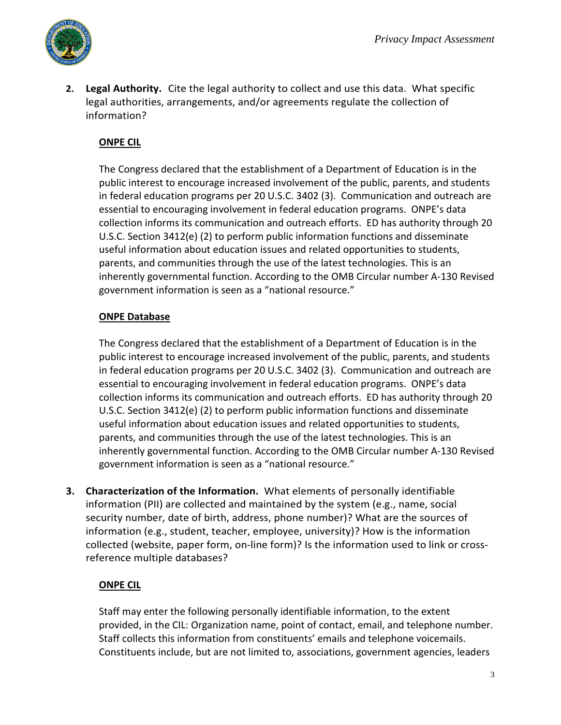

**2. Legal Authority.** Cite the legal authority to collect and use this data. What specific legal authorities, arrangements, and/or agreements regulate the collection of information?

# **ONPE CIL**

The Congress declared that the establishment of a Department of Education is in the public interest to encourage increased involvement of the public, parents, and students in federal education programs per 20 U.S.C. 3402 (3). Communication and outreach are essential to encouraging involvement in federal education programs. ONPE's data collection informs its communication and outreach efforts. ED has authority through 20 U.S.C. Section 3412(e) (2) to perform public information functions and disseminate useful information about education issues and related opportunities to students, parents, and communities through the use of the latest technologies. This is an inherently governmental function. According to the OMB Circular number A-130 Revised government information is seen as a "national resource."

# **ONPE Database**

The Congress declared that the establishment of a Department of Education is in the public interest to encourage increased involvement of the public, parents, and students in federal education programs per 20 U.S.C. 3402 (3). Communication and outreach are essential to encouraging involvement in federal education programs. ONPE's data collection informs its communication and outreach efforts. ED has authority through 20 U.S.C. Section 3412(e) (2) to perform public information functions and disseminate useful information about education issues and related opportunities to students, parents, and communities through the use of the latest technologies. This is an inherently governmental function. According to the OMB Circular number A-130 Revised government information is seen as a "national resource."

**3. Characterization of the Information.** What elements of personally identifiable information (PII) are collected and maintained by the system (e.g., name, social security number, date of birth, address, phone number)? What are the sources of information (e.g., student, teacher, employee, university)? How is the information collected (website, paper form, on-line form)? Is the information used to link or crossreference multiple databases?

# **ONPE CIL**

Staff may enter the following personally identifiable information, to the extent provided, in the CIL: Organization name, point of contact, email, and telephone number. Staff collects this information from constituents' emails and telephone voicemails. Constituents include, but are not limited to, associations, government agencies, leaders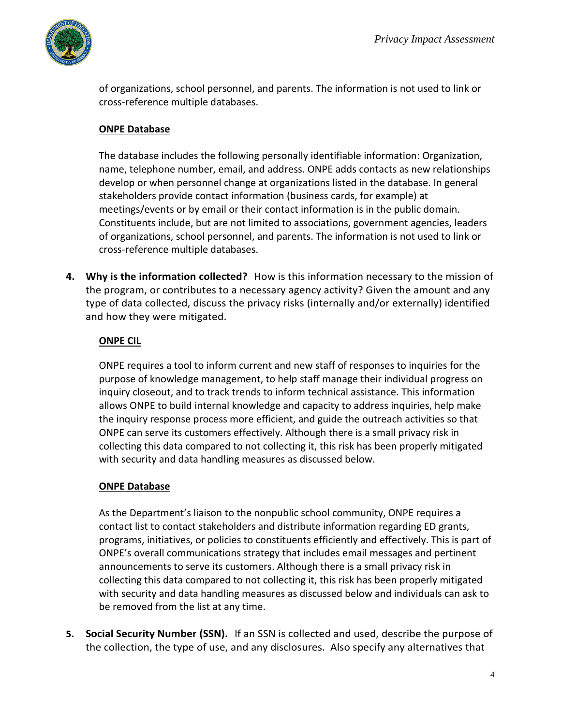

of organizations, school personnel, and parents. The information is not used to link or cross-reference multiple databases.

## **ONPE Database**

The database includes the following personally identifiable information: Organization, name, telephone number, email, and address. ONPE adds contacts as new relationships develop or when personnel change at organizations listed in the database. In general stakeholders provide contact information (business cards, for example) at meetings/events or by email or their contact information is in the public domain. Constituents include, but are not limited to associations, government agencies, leaders of organizations, school personnel, and parents. The information is not used to link or cross-reference multiple databases.

**4. Why is the information collected?** How is this information necessary to the mission of the program, or contributes to a necessary agency activity? Given the amount and any type of data collected, discuss the privacy risks (internally and/or externally) identified and how they were mitigated.

## **ONPE CIL**

ONPE requires a tool to inform current and new staff of responses to inquiries for the purpose of knowledge management, to help staff manage their individual progress on inquiry closeout, and to track trends to inform technical assistance. This information allows ONPE to build internal knowledge and capacity to address inquiries, help make the inquiry response process more efficient, and guide the outreach activities so that ONPE can serve its customers effectively. Although there is a small privacy risk in collecting this data compared to not collecting it, this risk has been properly mitigated with security and data handling measures as discussed below.

# **ONPE Database**

As the Department's liaison to the nonpublic school community, ONPE requires a contact list to contact stakeholders and distribute information regarding ED grants, programs, initiatives, or policies to constituents efficiently and effectively. This is part of ONPE's overall communications strategy that includes email messages and pertinent announcements to serve its customers. Although there is a small privacy risk in collecting this data compared to not collecting it, this risk has been properly mitigated with security and data handling measures as discussed below and individuals can ask to be removed from the list at any time.

**5. Social Security Number (SSN).** If an SSN is collected and used, describe the purpose of the collection, the type of use, and any disclosures. Also specify any alternatives that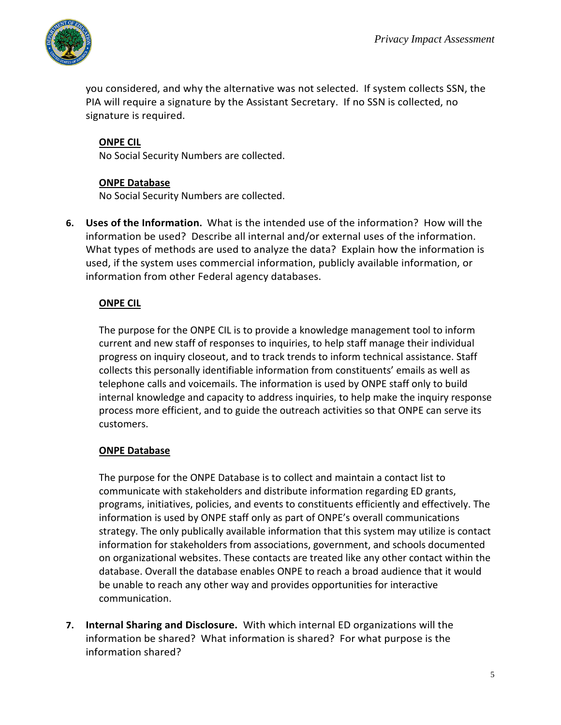

you considered, and why the alternative was not selected. If system collects SSN, the PIA will require a signature by the Assistant Secretary. If no SSN is collected, no signature is required.

## **ONPE CIL**

No Social Security Numbers are collected.

## **ONPE Database**

No Social Security Numbers are collected.

**6. Uses of the Information.** What is the intended use of the information? How will the information be used? Describe all internal and/or external uses of the information. What types of methods are used to analyze the data? Explain how the information is used, if the system uses commercial information, publicly available information, or information from other Federal agency databases.

## **ONPE CIL**

The purpose for the ONPE CIL is to provide a knowledge management tool to inform current and new staff of responses to inquiries, to help staff manage their individual progress on inquiry closeout, and to track trends to inform technical assistance. Staff collects this personally identifiable information from constituents' emails as well as telephone calls and voicemails. The information is used by ONPE staff only to build internal knowledge and capacity to address inquiries, to help make the inquiry response process more efficient, and to guide the outreach activities so that ONPE can serve its customers.

## **ONPE Database**

The purpose for the ONPE Database is to collect and maintain a contact list to communicate with stakeholders and distribute information regarding ED grants, programs, initiatives, policies, and events to constituents efficiently and effectively. The information is used by ONPE staff only as part of ONPE's overall communications strategy. The only publically available information that this system may utilize is contact information for stakeholders from associations, government, and schools documented on organizational websites. These contacts are treated like any other contact within the database. Overall the database enables ONPE to reach a broad audience that it would be unable to reach any other way and provides opportunities for interactive communication.

**7. Internal Sharing and Disclosure.** With which internal ED organizations will the information be shared? What information is shared? For what purpose is the information shared?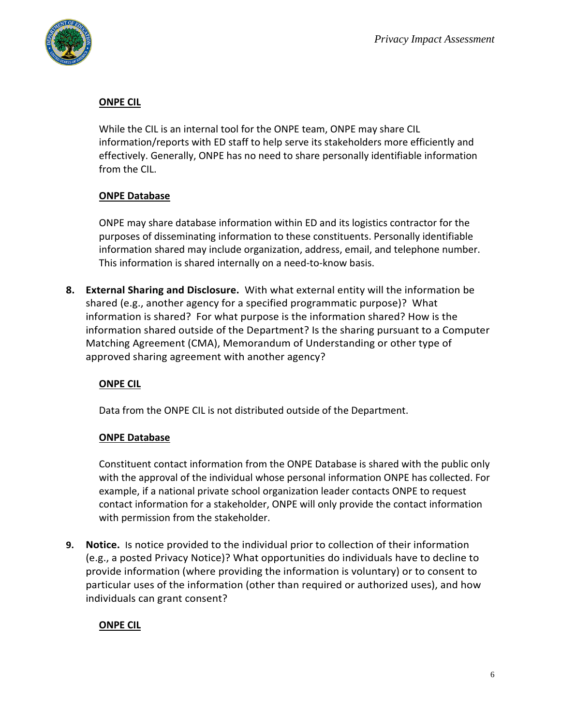

## **ONPE CIL**

While the CIL is an internal tool for the ONPE team, ONPE may share CIL information/reports with ED staff to help serve its stakeholders more efficiently and effectively. Generally, ONPE has no need to share personally identifiable information from the CIL.

# **ONPE Database**

ONPE may share database information within ED and its logistics contractor for the purposes of disseminating information to these constituents. Personally identifiable information shared may include organization, address, email, and telephone number. This information is shared internally on a need-to-know basis.

**8. External Sharing and Disclosure.** With what external entity will the information be shared (e.g., another agency for a specified programmatic purpose)? What information is shared? For what purpose is the information shared? How is the information shared outside of the Department? Is the sharing pursuant to a Computer Matching Agreement (CMA), Memorandum of Understanding or other type of approved sharing agreement with another agency?

# **ONPE CIL**

Data from the ONPE CIL is not distributed outside of the Department.

## **ONPE Database**

Constituent contact information from the ONPE Database is shared with the public only with the approval of the individual whose personal information ONPE has collected. For example, if a national private school organization leader contacts ONPE to request contact information for a stakeholder, ONPE will only provide the contact information with permission from the stakeholder.

**9. Notice.** Is notice provided to the individual prior to collection of their information (e.g., a posted Privacy Notice)? What opportunities do individuals have to decline to provide information (where providing the information is voluntary) or to consent to particular uses of the information (other than required or authorized uses), and how individuals can grant consent?

# **ONPE CIL**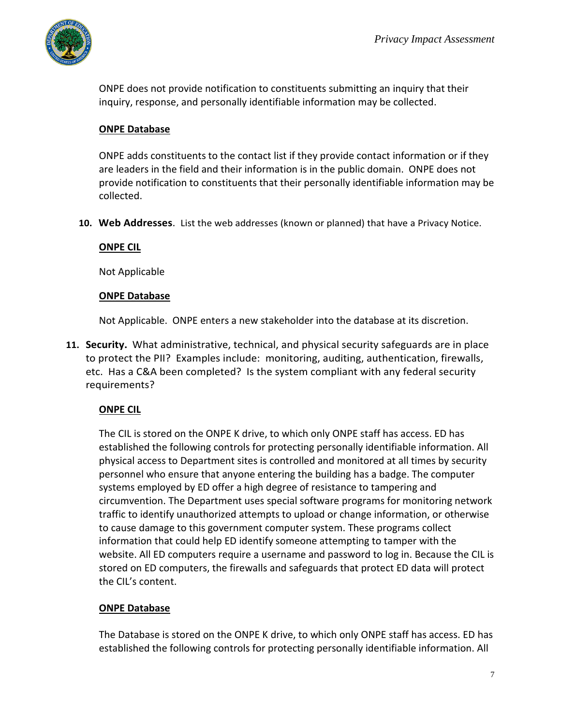

ONPE does not provide notification to constituents submitting an inquiry that their inquiry, response, and personally identifiable information may be collected.

## **ONPE Database**

ONPE adds constituents to the contact list if they provide contact information or if they are leaders in the field and their information is in the public domain. ONPE does not provide notification to constituents that their personally identifiable information may be collected.

**10. Web Addresses**. List the web addresses (known or planned) that have a Privacy Notice.

## **ONPE CIL**

Not Applicable

#### **ONPE Database**

Not Applicable. ONPE enters a new stakeholder into the database at its discretion.

**11. Security.** What administrative, technical, and physical security safeguards are in place to protect the PII? Examples include: monitoring, auditing, authentication, firewalls, etc. Has a C&A been completed? Is the system compliant with any federal security requirements?

## **ONPE CIL**

The CIL is stored on the ONPE K drive, to which only ONPE staff has access. ED has established the following controls for protecting personally identifiable information. All physical access to Department sites is controlled and monitored at all times by security personnel who ensure that anyone entering the building has a badge. The computer systems employed by ED offer a high degree of resistance to tampering and circumvention. The Department uses special software programs for monitoring network traffic to identify unauthorized attempts to upload or change information, or otherwise to cause damage to this government computer system. These programs collect information that could help ED identify someone attempting to tamper with the website. All ED computers require a username and password to log in. Because the CIL is stored on ED computers, the firewalls and safeguards that protect ED data will protect the CIL's content.

## **ONPE Database**

The Database is stored on the ONPE K drive, to which only ONPE staff has access. ED has established the following controls for protecting personally identifiable information. All